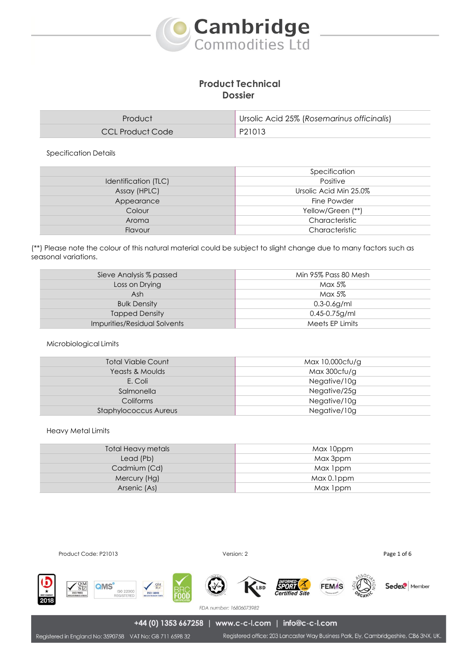

# **Product Technical Dossier**

| Product          | Ursolic Acid 25% (Rosemarinus officinalis) |  |
|------------------|--------------------------------------------|--|
| CCL Product Code | P21013                                     |  |

Specification Details

|                      | Specification          |
|----------------------|------------------------|
| Identification (TLC) | Positive               |
| Assay (HPLC)         | Ursolic Acid Min 25.0% |
| Appearance           | Fine Powder            |
| Colour               | Yellow/Green (**)      |
| Aroma                | Characteristic         |
| Flavour              | Characteristic         |

(\*\*) Please note the colour of this natural material could be subject to slight change due to many factors such as seasonal variations.

| Sieve Analysis % passed      | Min 95% Pass 80 Mesh |  |
|------------------------------|----------------------|--|
| Loss on Drying               | Max 5%               |  |
| Ash                          | Max 5%               |  |
| <b>Bulk Density</b>          | $0.3 - 0.6$ g/ml     |  |
| <b>Tapped Density</b>        | $0.45 - 0.75$ g/ml   |  |
| Impurities/Residual Solvents | Meets EP Limits      |  |

### Microbiological Limits

| <b>Total Viable Count</b>    | Max 10,000cfu/g |  |
|------------------------------|-----------------|--|
| Yeasts & Moulds              | Max 300cfu/g    |  |
| E. Coli                      | Negative/10g    |  |
| Salmonella                   | Negative/25g    |  |
| Coliforms                    | Negative/10g    |  |
| <b>Staphylococcus Aureus</b> | Negative/10g    |  |
|                              |                 |  |

#### Heavy Metal Limits

| Total Heavy metals | Max 10ppm   |
|--------------------|-------------|
| Lead (Pb)          | Max 3ppm    |
| Cadmium (Cd)       | Max 1ppm    |
| Mercury (Hg)       | Max 0.1 ppm |
| Arsenic (As)       | Max 1ppm    |

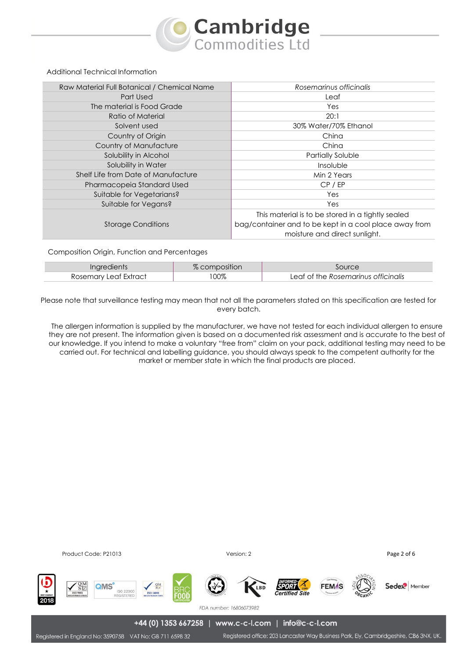

### Additional Technical Information

| Raw Material Full Botanical / Chemical Name | Rosemarinus officinalis                                                                                                                      |
|---------------------------------------------|----------------------------------------------------------------------------------------------------------------------------------------------|
| Part Used                                   | Leaf                                                                                                                                         |
| The material is Food Grade                  | Yes                                                                                                                                          |
| Ratio of Material                           | 20:1                                                                                                                                         |
| Solvent used                                | 30% Water/70% Ethanol                                                                                                                        |
| Country of Origin                           | China                                                                                                                                        |
| Country of Manufacture                      | China                                                                                                                                        |
| Solubility in Alcohol                       | Partially Soluble                                                                                                                            |
| Solubility in Water                         | Insoluble                                                                                                                                    |
| Shelf Life from Date of Manufacture         | Min 2 Years                                                                                                                                  |
| Pharmacopeia Standard Used                  | CP / EP                                                                                                                                      |
| Suitable for Vegetarians?                   | Yes                                                                                                                                          |
| Suitable for Vegans?                        | Yes                                                                                                                                          |
| <b>Storage Conditions</b>                   | This material is to be stored in a tightly sealed<br>bag/container and to be kept in a cool place away from<br>moisture and direct sunlight. |

#### Composition Origin, Function and Percentages

| <b>Ingredients</b>    | % composition |                                     |
|-----------------------|---------------|-------------------------------------|
| Rosemary Leaf Extract | 100%          | Leaf of the Rosemarinus officinalis |

Please note that surveillance testing may mean that not all the parameters stated on this specification are tested for every batch.

The allergen information is supplied by the manufacturer, we have not tested for each individual allergen to ensure they are not present. The information given is based on a documented risk assessment and is accurate to the best of our knowledge. If you intend to make a voluntary "free from" claim on your pack, additional testing may need to be carried out. For technical and labelling guidance, you should always speak to the competent authority for the market or member state in which the final products are placed.

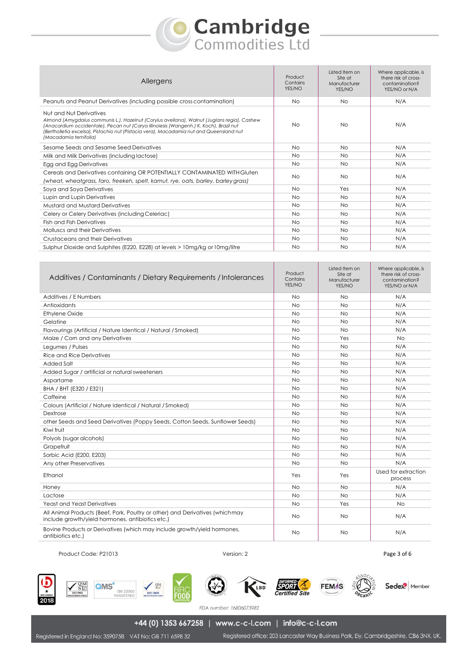# **Cambridge**<br>Commodities Ltd

| Allergens                                                                                                                                                                                                                                                                                                                             | Product<br>Contains<br>YES/NO | Listed Item on<br>Site at<br>Manufacturer<br>YES/NO | Where applicable, is<br>there risk of cross-<br>contamination?<br>YES/NO or N/A |
|---------------------------------------------------------------------------------------------------------------------------------------------------------------------------------------------------------------------------------------------------------------------------------------------------------------------------------------|-------------------------------|-----------------------------------------------------|---------------------------------------------------------------------------------|
| Peanuts and Peanut Derivatives (including possible cross contamination)                                                                                                                                                                                                                                                               | <b>No</b>                     | No.                                                 | N/A                                                                             |
| Nut and Nut Derivatives<br>Almond (Amygdalus communis L.), Hazelnut (Corylus avellana), Walnut (Juglans regia), Cashew<br>(Anacardium occidentale), Pecan nut (Carya illinoiesis (Wangenh.) K. Koch), Brazil nut<br>(Bertholletia excelsa), Pistachio nut (Pistacia vera), Macadamia nut and Queensland nut<br>(Macadamia ternifolia) | <b>No</b>                     | <b>No</b>                                           | N/A                                                                             |
| Sesame Seeds and Sesame Seed Derivatives                                                                                                                                                                                                                                                                                              | <b>No</b>                     | <b>No</b>                                           | N/A                                                                             |
| Milk and Milk Derivatives (including lactose)                                                                                                                                                                                                                                                                                         | <b>No</b>                     | No.                                                 | N/A                                                                             |
| Egg and Egg Derivatives                                                                                                                                                                                                                                                                                                               | <b>No</b>                     | No.                                                 | N/A                                                                             |
| Cereals and Derivatives containing OR POTENTIALLY CONTAMINATED WITH Gluten<br>(wheat, wheatgrass, faro, freekeh, spelt, kamut, rye, oats, barley, barley grass)                                                                                                                                                                       | <b>No</b>                     | No.                                                 | N/A                                                                             |
| Soya and Soya Derivatives                                                                                                                                                                                                                                                                                                             | <b>No</b>                     | Yes                                                 | N/A                                                                             |
| Lupin and Lupin Derivatives                                                                                                                                                                                                                                                                                                           | <b>No</b>                     | <b>No</b>                                           | N/A                                                                             |
| Mustard and Mustard Derivatives                                                                                                                                                                                                                                                                                                       | <b>No</b>                     | No.                                                 | N/A                                                                             |
| Celery or Celery Derivatives (including Celeriac)                                                                                                                                                                                                                                                                                     | <b>No</b>                     | No.                                                 | N/A                                                                             |
| <b>Fish and Fish Derivatives</b>                                                                                                                                                                                                                                                                                                      | <b>No</b>                     | <b>No</b>                                           | N/A                                                                             |
| Molluscs and their Derivatives                                                                                                                                                                                                                                                                                                        | <b>No</b>                     | No.                                                 | N/A                                                                             |
| Crustaceans and their Derivatives                                                                                                                                                                                                                                                                                                     | <b>No</b>                     | <b>No</b>                                           | N/A                                                                             |
| Sulphur Dioxide and Sulphites (E220, E228) at levels > 10mg/kg or 10mg/litre                                                                                                                                                                                                                                                          | <b>No</b>                     | <b>No</b>                                           | N/A                                                                             |

| Additives / Contaminants / Dietary Requirements / Intolerances                                                                    | Product<br>Contains<br>YES/NO | Listed Item on<br>Site at<br>Manufacturer<br>YES/NO | Where applicable, is<br>there risk of cross-<br>contamination?<br>YES/NO or N/A |
|-----------------------------------------------------------------------------------------------------------------------------------|-------------------------------|-----------------------------------------------------|---------------------------------------------------------------------------------|
| Additives / E Numbers                                                                                                             | <b>No</b>                     | <b>No</b>                                           | N/A                                                                             |
| Antioxidants                                                                                                                      | <b>No</b>                     | <b>No</b>                                           | N/A                                                                             |
| <b>Ethylene Oxide</b>                                                                                                             | No                            | No                                                  | N/A                                                                             |
| Gelatine                                                                                                                          | <b>No</b>                     | <b>No</b>                                           | N/A                                                                             |
| Flavourings (Artificial / Nature Identical / Natural / Smoked)                                                                    | <b>No</b>                     | <b>No</b>                                           | N/A                                                                             |
| Maize / Corn and any Derivatives                                                                                                  | <b>No</b>                     | Yes                                                 | <b>No</b>                                                                       |
| Legumes / Pulses                                                                                                                  | <b>No</b>                     | <b>No</b>                                           | N/A                                                                             |
| <b>Rice and Rice Derivatives</b>                                                                                                  | <b>No</b>                     | <b>No</b>                                           | N/A                                                                             |
| Added Salt                                                                                                                        | <b>No</b>                     | <b>No</b>                                           | N/A                                                                             |
| Added Sugar / artificial or natural sweeteners                                                                                    | <b>No</b>                     | <b>No</b>                                           | N/A                                                                             |
| Aspartame                                                                                                                         | No                            | No                                                  | N/A                                                                             |
| BHA / BHT (E320 / E321)                                                                                                           | <b>No</b>                     | <b>No</b>                                           | N/A                                                                             |
| Caffeine                                                                                                                          | <b>No</b>                     | <b>No</b>                                           | N/A                                                                             |
| Colours (Artificial / Nature Identical / Natural / Smoked)                                                                        | <b>No</b>                     | <b>No</b>                                           | N/A                                                                             |
| Dextrose                                                                                                                          | <b>No</b>                     | <b>No</b>                                           | N/A                                                                             |
| other Seeds and Seed Derivatives (Poppy Seeds, Cotton Seeds, Sunflower Seeds)                                                     | <b>No</b>                     | <b>No</b>                                           | N/A                                                                             |
| Kiwi fruit                                                                                                                        | <b>No</b>                     | <b>No</b>                                           | N/A                                                                             |
| Polyols (sugar alcohols)                                                                                                          | <b>No</b>                     | <b>No</b>                                           | N/A                                                                             |
| Grapefruit                                                                                                                        | <b>No</b>                     | <b>No</b>                                           | N/A                                                                             |
| Sorbic Acid (E200, E203)                                                                                                          | <b>No</b>                     | <b>No</b>                                           | N/A                                                                             |
| Any other Preservatives                                                                                                           | <b>No</b>                     | <b>No</b>                                           | N/A                                                                             |
| Ethanol                                                                                                                           | Yes                           | Yes                                                 | Used for extraction<br>process                                                  |
| Honey                                                                                                                             | <b>No</b>                     | <b>No</b>                                           | N/A                                                                             |
| Lactose                                                                                                                           | <b>No</b>                     | <b>No</b>                                           | N/A                                                                             |
| <b>Yeast and Yeast Derivatives</b>                                                                                                | <b>No</b>                     | Yes                                                 | N <sub>O</sub>                                                                  |
| All Animal Products (Beef, Pork, Poultry or other) and Derivatives (which may<br>include growth/yield hormones, antibiotics etc.) | <b>No</b>                     | No                                                  | N/A                                                                             |
| Bovine Products or Derivatives (which may include growth/yield hormones,<br>antibiotics etc.)                                     | <b>No</b>                     | No                                                  | N/A                                                                             |

Product Code: P21013 **Page 3 of 6** Product Code: P21013













Sedex<sup>2</sup> Member

FDA number: 16806073982

+44 (0) 1353 667258 | www.c-c-l.com | info@c-c-l.com

Registered office: 203 Lancaster Way Business Park, Ely, Cambridgeshire, CB6 3NX, UK.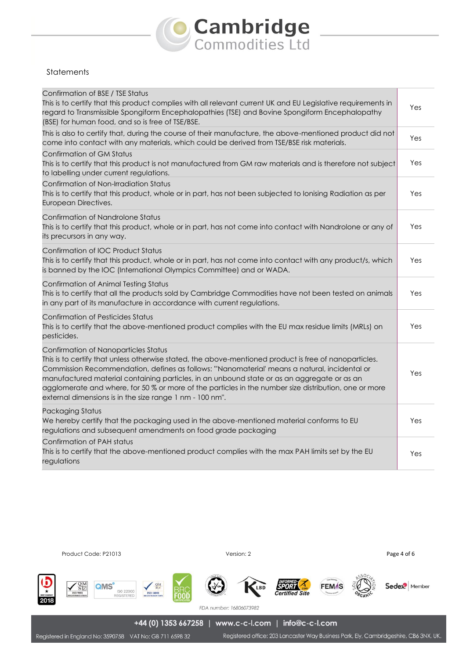# **Cambridge**<br>Commodities Ltd

## **Statements**

| Confirmation of BSE / TSE Status<br>This is to certify that this product complies with all relevant current UK and EU Legislative requirements in<br>regard to Transmissible Spongiform Encephalopathies (TSE) and Bovine Spongiform Encephalopathy<br>(BSE) for human food, and so is free of TSE/BSE.                                                                                                                                                                                                            | Yes |
|--------------------------------------------------------------------------------------------------------------------------------------------------------------------------------------------------------------------------------------------------------------------------------------------------------------------------------------------------------------------------------------------------------------------------------------------------------------------------------------------------------------------|-----|
| This is also to certify that, during the course of their manufacture, the above-mentioned product did not<br>come into contact with any materials, which could be derived from TSE/BSE risk materials.                                                                                                                                                                                                                                                                                                             | Yes |
| <b>Confirmation of GM Status</b><br>This is to certify that this product is not manufactured from GM raw materials and is therefore not subject<br>to labelling under current regulations.                                                                                                                                                                                                                                                                                                                         | Yes |
| Confirmation of Non-Irradiation Status<br>This is to certify that this product, whole or in part, has not been subjected to Ionising Radiation as per<br>European Directives.                                                                                                                                                                                                                                                                                                                                      | Yes |
| Confirmation of Nandrolone Status<br>This is to certify that this product, whole or in part, has not come into contact with Nandrolone or any of<br>its precursors in any way.                                                                                                                                                                                                                                                                                                                                     | Yes |
| Confirmation of IOC Product Status<br>This is to certify that this product, whole or in part, has not come into contact with any product/s, which<br>is banned by the IOC (International Olympics Committee) and or WADA.                                                                                                                                                                                                                                                                                          | Yes |
| Confirmation of Animal Testing Status<br>This is to certify that all the products sold by Cambridge Commodities have not been tested on animals<br>in any part of its manufacture in accordance with current regulations.                                                                                                                                                                                                                                                                                          | Yes |
| <b>Confirmation of Pesticides Status</b><br>This is to certify that the above-mentioned product complies with the EU max residue limits (MRLs) on<br>pesticides.                                                                                                                                                                                                                                                                                                                                                   | Yes |
| Confirmation of Nanoparticles Status<br>This is to certify that unless otherwise stated, the above-mentioned product is free of nanoparticles.<br>Commission Recommendation, defines as follows: "Nanomaterial' means a natural, incidental or<br>manufactured material containing particles, in an unbound state or as an aggregate or as an<br>agglomerate and where, for 50 % or more of the particles in the number size distribution, one or more<br>external dimensions is in the size range 1 nm - 100 nm". | Yes |
| Packaging Status<br>We hereby certify that the packaging used in the above-mentioned material conforms to EU<br>regulations and subsequent amendments on food grade packaging                                                                                                                                                                                                                                                                                                                                      | Yes |
| Confirmation of PAH status<br>This is to certify that the above-mentioned product complies with the max PAH limits set by the EU<br>regulations                                                                                                                                                                                                                                                                                                                                                                    | Yes |

Product Code: P21013 **Page 4 of 6** Product Code: P21013



Sedex<sup>2</sup> Member

+44 (0) 1353 667258 | www.c-c-l.com | info@c-c-l.com

Registered in England No: 3590758 VAT No: GB 711 6598 32

Registered office: 203 Lancaster Way Business Park, Ely, Cambridgeshire, CB6 3NX, UK.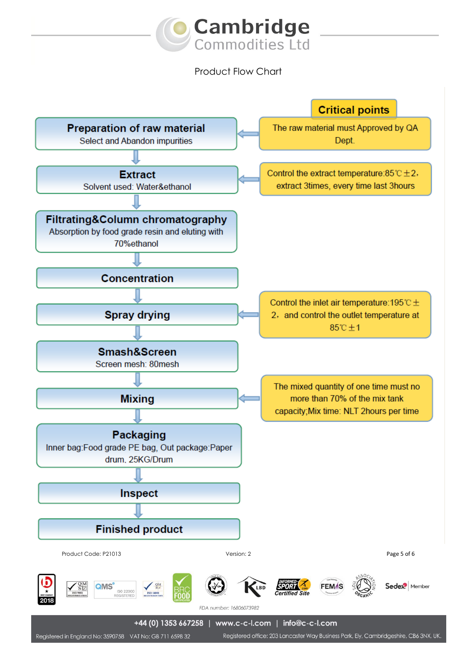

Product Flow Chart